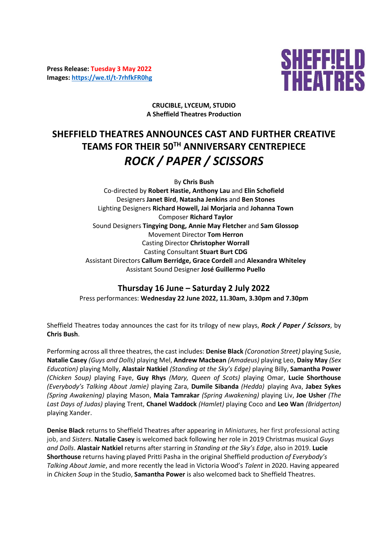**Press Release: Tuesday 3 May 2022 Images:<https://we.tl/t-7rhfkFR0hg>**



**CRUCIBLE, LYCEUM, STUDIO A Sheffield Theatres Production**

# **SHEFFIELD THEATRES ANNOUNCES CAST AND FURTHER CREATIVE TEAMS FOR THEIR 50TH ANNIVERSARY CENTREPIECE**  *ROCK / PAPER / SCISSORS*

By **Chris Bush** Co-directed by **Robert Hastie, Anthony Lau** and **Elin Schofield** Designers **Janet Bird**, **Natasha Jenkins** and **Ben Stones** Lighting Designers **Richard Howell, Jai Morjaria** and **Johanna Town**  Composer **Richard Taylor** Sound Designers **Tingying Dong, Annie May Fletcher** and **Sam Glossop**  Movement Director **Tom Herron** Casting Director **Christopher Worrall** Casting Consultant **Stuart Burt CDG** Assistant Directors **Callum Berridge, Grace Cordell** and **Alexandra Whiteley** Assistant Sound Designer **José Guillermo Puello**

# **Thursday 16 June – Saturday 2 July 2022** Press performances: **Wednesday 22 June 2022, 11.30am, 3.30pm and 7.30pm**

Sheffield Theatres today announces the cast for its trilogy of new plays, *Rock / Paper / Scissors*, by **Chris Bush**.

Performing across all three theatres, the cast includes: **Denise Black** *(Coronation Street)* playing Susie, **Natalie Casey** *(Guys and Dolls)* playing Mel, **Andrew Macbean** *(Amadeus)* playing Leo, **Daisy May** *(Sex Education)* playing Molly, **Alastair Natkiel** *(Standing at the Sky's Edge)* playing Billy, **Samantha Power** *(Chicken Soup)* playing Faye, **Guy Rhys** *(Mary, Queen of Scots)* playing Omar, **Lucie Shorthouse**  *(Everybody's Talking About Jamie)* playing Zara, **Dumile Sibanda** *(Hedda)* playing Ava, **Jabez Sykes** *(Spring Awakening)* playing Mason, **Maia Tamrakar** *(Spring Awakening)* playing Liv, **Joe Usher** *(The Last Days of Judas)* playing Trent, **Chanel Waddock** *(Hamlet)* playing Coco and **Leo Wan** *(Bridgerton)* playing Xander.

**Denise Black** returns to Sheffield Theatres after appearing in *Miniatures,* her first professional acting job, and *Sisters*. **Natalie Casey** is welcomed back following her role in 2019 Christmas musical *Guys and Dolls*. **Alastair Natkiel** returns after starring in *Standing at the Sky's Edge*, also in 2019. **Lucie Shorthouse** returns having played Pritti Pasha in the original Sheffield production *of Everybody's Talking About Jamie*, and more recently the lead in Victoria Wood's *Talent* in 2020. Having appeared in *Chicken Soup* in the Studio, **Samantha Power** is also welcomed back to Sheffield Theatres.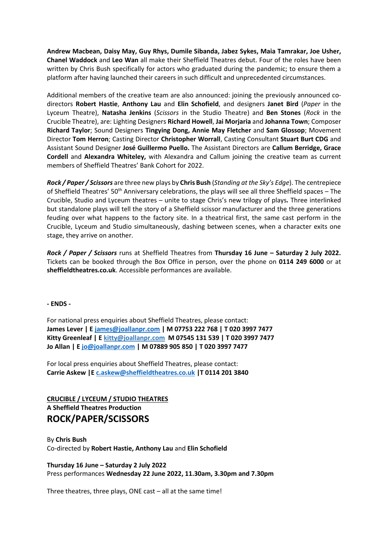**Andrew Macbean, Daisy May, Guy Rhys, Dumile Sibanda, Jabez Sykes, Maia Tamrakar, Joe Usher, Chanel Waddock** and **Leo Wan** all make their Sheffield Theatres debut. Four of the roles have been written by Chris Bush specifically for actors who graduated during the pandemic; to ensure them a platform after having launched their careers in such difficult and unprecedented circumstances.

Additional members of the creative team are also announced: joining the previously announced codirectors **Robert Hastie**, **Anthony Lau** and **Elin Schofield**, and designers **Janet Bird** (*Paper* in the Lyceum Theatre), **Natasha Jenkins** (*Scissors* in the Studio Theatre) and **Ben Stones** (*Rock* in the Crucible Theatre), are: Lighting Designers **Richard Howell**, **Jai Morjaria** and **Johanna Town**; Composer **Richard Taylor**; Sound Designers **Tingying Dong, Annie May Fletcher** and **Sam Glossop**; Movement Director **Tom Herron**; Casting Director **Christopher Worrall**, Casting Consultant **Stuart Burt CDG** and Assistant Sound Designer **José Guillermo Puello.** The Assistant Directors are **Callum Berridge, Grace Cordell** and **Alexandra Whiteley,** with Alexandra and Callum joining the creative team as current members of Sheffield Theatres' Bank Cohort for 2022.

*Rock / Paper / Scissors* are three new plays by **Chris Bush** (*Standing at the Sky's Edge*). The centrepiece of Sheffield Theatres' 50th Anniversary celebrations, the plays will see all three Sheffield spaces – The Crucible, Studio and Lyceum theatres – unite to stage Chris's new trilogy of plays*.* Three interlinked but standalone plays will tell the story of a Sheffield scissor manufacturer and the three generations feuding over what happens to the factory site. In a theatrical first, the same cast perform in the Crucible, Lyceum and Studio simultaneously, dashing between scenes, when a character exits one stage, they arrive on another.

*Rock / Paper / Scissors* runs at Sheffield Theatres from **Thursday 16 June – Saturday 2 July 2022.**  Tickets can be booked through the Box Office in person, over the phone on **0114 249 6000** or at **sheffieldtheatres.co.uk**. Accessible performances are available.

**- ENDS -**

For national press enquiries about Sheffield Theatres, please contact: **James Lever | E [james@joallanpr.com](mailto:james@joallanpr.com) | M 07753 222 768 | T 020 3997 7477 Kitty Greenleaf | E [kitty@joallanpr.com](mailto:kitty@joallanpr.com) M 07545 131 539 | T 020 3997 7477 Jo Allan | [E jo@joallanpr.com](mailto:jo@joallanpr.com) | M 07889 905 850 | T 020 3997 7477**

For local press enquiries about Sheffield Theatres, please contact: **Carrie Askew |[E c.askew@sheffieldtheatres.co.uk](mailto:c.askew@sheffieldtheatres.co.uk) |T 0114 201 3840**

## **CRUCIBLE / LYCEUM / STUDIO THEATRES A Sheffield Theatres Production ROCK/PAPER/SCISSORS**

By **Chris Bush** Co-directed by **Robert Hastie, Anthony Lau** and **Elin Schofield**

**Thursday 16 June – Saturday 2 July 2022** Press performances **Wednesday 22 June 2022, 11.30am, 3.30pm and 7.30pm**

Three theatres, three plays, ONE cast – all at the same time!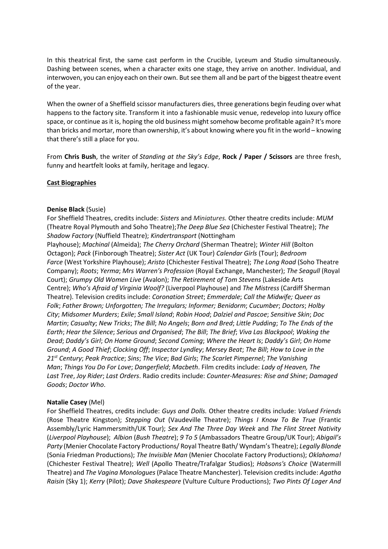In this theatrical first, the same cast perform in the Crucible, Lyceum and Studio simultaneously. Dashing between scenes, when a character exits one stage, they arrive on another. Individual, and interwoven, you can enjoy each on their own. But see them all and be part of the biggest theatre event of the year.

When the owner of a Sheffield scissor manufacturers dies, three generations begin feuding over what happens to the factory site. Transform it into a fashionable music venue, redevelop into luxury office space, or continue as it is, hoping the old business might somehow become profitable again? It's more than bricks and mortar, more than ownership, it's about knowing where you fit in the world – knowing that there's still a place for you.

From **Chris Bush**, the writer of *Standing at the Sky's Edge*, **Rock / Paper / Scissors** are three fresh, funny and heartfelt looks at family, heritage and legacy.

#### **Cast Biographies**

#### **Denise Black** (Susie)

For Sheffield Theatres, credits include: *Sisters* and *Miniatures.* Other theatre credits include: *MUM* (Theatre Royal Plymouth and Soho Theatre);*The Deep Blue Sea* (Chichester Festival Theatre); *The Shadow Factory* (Nuffield Theatre); *Kindertransport* (Nottingham

Playhouse); *Machinal* (Almeida); *The Cherry Orchard* (Sherman Theatre); *Winter Hill* (Bolton Octagon); *Pack* (Finborough Theatre); *Sister Act* (UK Tour) *Calendar Girls* (Tour); *Bedroom Farce* (West Yorkshire Playhouse); *Aristo* (Chichester Festival Theatre); *The Long Road* (Soho Theatre Company); *Roots*; *Yerma*; *Mrs Warren's Profession* (Royal Exchange, Manchester); *The Seagull* (Royal Court); *Grumpy Old Women Live* (Avalon); *The Retirement of Tom Stevens* (Lakeside Arts Centre); *Who's Afraid of Virginia Woolf?* (Liverpool Playhouse) and *The Mistress* (Cardiff Sherman Theatre). Television credits include: *Coronation Street*; *Emmerdale*; *Call the Midwife; Queer as Folk*; *Father Brown; Unforgotten; The Irregulars; Informer; Benidorm*; *Cucumber*; *Doctors*; *Holby City*; *Midsomer Murders*; *Exile*; *Small Island*; *Robin Hood*; *Dalziel and Pascoe*; *Sensitive Skin*; *Doc Martin*; *Casualty*; *New Tricks*; *The Bill*; *No Angels*; *Born and Bred*; *Little Pudding*; *To The Ends of the Earth*; *Hear the Silence*; *Serious and Organised*; *The Bill*; *The Brief*; *Viva Las Blackpool*; *Waking the Dead*; *Daddy's Girl*; *On Home Ground*; *Second Coming*; *Where the Heart Is*; *Daddy's Girl*; *On Home Ground*; *A Good Thief*; *Clocking Off*; *Inspector Lyndley*; *Mersey Beat*; *The Bill*; *How to Love in the 21st Century*; *Peak Practice*; *Sins*; *The Vice*; *Bad Girls*; *The Scarlet Pimpernel*; *The Vanishing Man*; *Things You Do For Love*; *Dangerfield*; *Macbeth*. Film credits include: *Lady of Heaven, The Last Tree*, *Joy Rider*; *Last Orders*. Radio credits include: *Counter-Measures: Rise and Shine*; *Damaged Goods*; *Doctor Who*.

#### **Natalie Casey** (Mel)

For Sheffield Theatres, credits include: *Guys and Dolls.* Other theatre credits include: *Valued Friends* (Rose Theatre Kingston); *Stepping Out* (Vaudeville Theatre); *Things I Know To Be True* (Frantic Assembly/Lyric Hammersmith/UK Tour); *Sex And The Three Day Week* and *The Flint Street Nativity* (*Liverpool Playhouse*); *Albion* (*Bush Theatre*); *9 To 5* (Ambassadors Theatre Group/UK Tour); *Abigail's Party* (Menier Chocolate Factory Productions/ Royal Theatre Bath/ Wyndam's Theatre); *Legally Blonde* (Sonia Friedman Productions); *The Invisible Man* (Menier Chocolate Factory Productions); *Oklahoma!* (Chichester Festival Theatre); *Well* (Apollo Theatre/Trafalgar Studios); *Hobsons's Choice* (Watermill Theatre) and *The Vagina Monologues* (Palace Theatre Manchester). Television credits include: *Agatha Raisin* (Sky 1); *Kerry* (Pilot); *Dave Shakespeare* (Vulture Culture Productions); *Two Pints Of Lager And*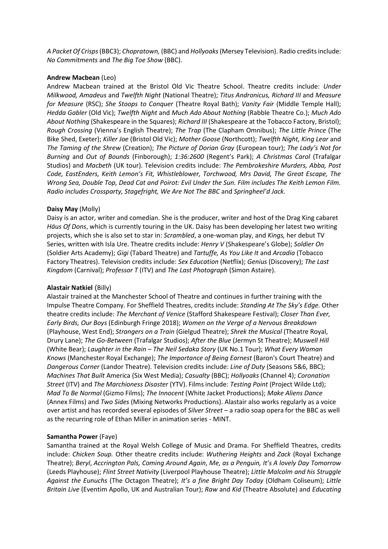*A Packet Of Crisps*(BBC3); *Chopratown,* (BBC) and *Hollyoaks*(Mersey Television). Radio credits include: *No Commitments* and *The Big Toe Show* (BBC).

#### **Andrew Macbean** (Leo)

Andrew Macbean trained at the Bristol Old Vic Theatre School. Theatre credits include: *Under Milkwood, Amadeus* and *Twelfth Night* (National Theatre); *Titus Andronicus, Richard III* and *Measure for Measure* (RSC); *She Stoops to Conquer* (Theatre Royal Bath); *Vanity Fair* (Middle Temple Hall); *Hedda Gabler* (Old Vic); *Twelfth Night* and *Much Ado About Nothing* (Rabble Theatre Co.); *Much Ado About Nothing* (Shakespeare in the Squares); *Richard III* (Shakespeare at the Tobacco Factory, Bristol); *Rough Crossing* (Vienna's English Theatre); *The Trap* (The Clapham Omnibus); *The Little Prince* (The Bike Shed, Exeter); *Killer Joe* (Bristol Old Vic); *Mother Goose* (Northcott); *Twelfth Night, King Lear* and *The Taming of the Shrew* (Creation); *The Picture of Dorian Gray* (European tour); *The Lady's Not for Burning* and *Out of Bounds* (Finborough); *1:36:2600* (Regent's Park); *A Christmas Carol* (Trafalgar Studios) and *Macbeth* (UK tour). Television credits include: *The Pembrokeshire Murders, Abba, Post Code, EastEnders, Keith Lemon's Fit, Whistleblower, Torchwood, Mrs David, The Great Escape, The Wrong Sea, Double Top, Dead Cat and Poirot: Evil Under the Sun. Film includes The Keith Lemon Film. Radio includes Crossparty, Stagefright, We Are Not The BBC* and *Springheel'd Jack.*

#### **Daisy May** (Molly)

Daisy is an actor, writer and comedian. She is the producer, writer and host of the Drag King cabaret *Häus Of Dons*, which is currently touring in the UK. Daisy has been developing her latest two writing projects, which she is also set to star in: *Scrambled*, a one-woman play, and *Kings,* her debut TV Series, written with Isla Ure. Theatre credits include: *Henry V* (Shakespeare's Globe); *Soldier On* (Soldier Arts Academy); *Gigi* (Tabard Theatre) and *Tartuffe, As You Like It* and *Arcadia* (Tobacco Factory Theatres). Television credits include: *Sex Education* (Netflix); *Genius* (Discovery); *The Last Kingdom* (Carnival); *Professor T* (ITV) and *The Last Photograph* (Simon Astaire).

#### **Alastair Natkiel** (Billy)

Alastair trained at the Manchester School of Theatre and continues in further training with the Impulse Theatre Company. For Sheffield Theatres, credits include: *Standing At The Sky's Edge.* Other theatre credits include: *The Merchant of Venice* (Stafford Shakespeare Festival); *Closer Than Ever, Early Birds, Our Boys* (Edinburgh Fringe 2018); *Women on the Verge of a Nervous Breakdown* (Playhouse, West End); *Strangers on a Train* (Gielgud Theatre); *Shrek the Musical* (Theatre Royal, Drury Lane); *The Go-Between* (Trafalgar Studios); *After the Blue* (Jermyn St Theatre); *Muswell Hill* (White Bear); *Laughter in the Rain – The Neil Sedaka Story* (UK No.1 Tour); *What Every Woman Knows* (Manchester Royal Exchange); *The Importance of Being Earnest* (Baron's Court Theatre) and *Dangerous Corner* (Landor Theatre). Television credits include: *Line of Duty* (Seasons 5&6, BBC); *Machines That Built* America (Six West Media); *Casualty* (BBC); *Hollyoaks* (Channel 4); *Coronation Street* (ITV) and *The Marchioness Disaster* (YTV). Films include: *Testing Point* (Project Wilde Ltd); *Mad To Be Normal* (Gizmo Films); *The Innocent* (White Jacket Productions); *Make Aliens Dance* (Annex Films) and *Two Sides* (Mixing Networks Productions). Alastair also works regularly as a voice over artist and has recorded several episodes of *Silver Street* – a radio soap opera for the BBC as well as the recurring role of Ethan Miller in animation series - MINT.

#### **Samantha Power** (Faye)

Samantha trained at the Royal Welsh College of Music and Drama. For Sheffield Theatres, credits include: *Chicken Soup.* Other theatre credits include: *Wuthering Heights* and *Zack* (Royal Exchange Theatre); *Beryl*, *Accrington Pals, Coming Around Again*, *Me, as a Penguin, It's A lovely Day Tomorrow* (Leeds Playhouse); *Flint Street Nativity* (Liverpool Playhouse Theatre); *Little Malcolm and his Struggle Against the Eunuchs* (The Octagon Theatre); *It's a fine Bright Day Today* (Oldham Coliseum); *Little Britain Live* (Eventim Apollo, UK and Australian Tour); *Raw* and *Kid* (Theatre Absolute) and *Educating*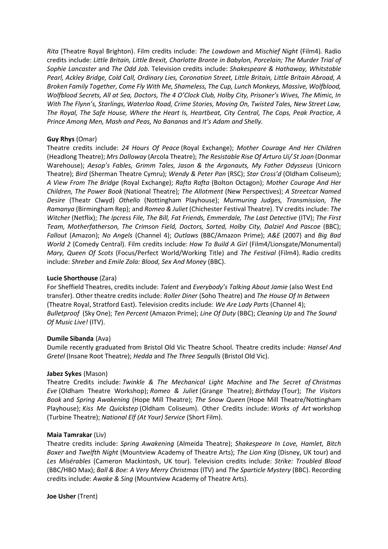*Rita* (Theatre Royal Brighton). Film credits include: *The Lowdown* and *Mischief Night* (Film4)*.* Radio credits include: *Little Britain, Little Brexit, Charlotte Bronte in Babylon, Porcelain; The Murder Trial of Sophie Lancaster* and *The Odd Job.* Television credits include: *Shakespeare & Hathaway, Whitstable Pearl, Ackley Bridge, Cold Call, Ordinary Lies, Coronation Street, Little Britain, Little Britain Abroad, A Broken Family Together, Come Fly With Me, Shameless, The Cup, Lunch Monkeys, Massive, Wolfblood, Wolfblood Secrets, All at Sea, Doctors, The 4 O'Clock Club, Holby City, Prisoner's Wives, The Mimic, In With The Flynn's, Starlings, Waterloo Road, Crime Stories, Moving On, Twisted Tales, New Street Law, The Royal, The Safe House, Where the Heart Is, Heartbeat, City Central, The Cops, Peak Practice, A Prince Among Men, Mash and Peas, No Bananas* and *It's Adam and Shelly.* 

### **Guy Rhys** (Omar)

Theatre credits include: *24 Hours Of Peace* (Royal Exchange); *Mother Courage And Her Children* (Headlong Theatre); *Mrs Dalloway* (Arcola Theatre); *The Resistable Rise Of Arturo Ui/ St Joan* (Donmar Warehouse); *Aesop's Fables, Grimm Tales, Jason & the Argonauts, My Father Odysseus* (Unicorn Theatre); *Bird* (Sherman Theatre Cymru); *Wendy & Peter Pan* (RSC); *Star Cross'd* (Oldham Coliseum); *A View From The Bridge* (Royal Exchange); *Rafta Rafta* (Bolton Octagon); *Mother Courage And Her Children, The Power Book* (National Theatre); *The Allotment* (New Perspectives); *A Streetcar Named Desire* (Theatr Clwyd) *Othello* (Nottingham Playhouse); *Murmuring Judges, Transmission, The Ramanya* (Birmingham Rep); and *Romeo & Juliet* (Chichester Festival Theatre). TV credits include: *The Witcher* (Netflix); *The Ipcress File, The Bill, Fat Friends, Emmerdale, The Last Detective* (ITV); *The First Team, Motherfatherson, The Crimson Field, Doctors, Sorted, Holby City, Dalziel And Pascoe* (BBC); *Fallout* (Amazon); *No Angels* (Channel 4); *Outlaws* (BBC/Amazon Prime); *A&E* (2007) and *Big Bad World 2* (Comedy Central). Film credits include: *How To Build A Girl* (Film4/Lionsgate/Monumental) *Mary, Queen Of Scots* (Focus/Perfect World/Working Title) and *The Festival* (Film4). Radio credits include: *Shreber* and *Emile Zola: Blood, Sex And Money* (BBC).

#### **Lucie Shorthouse** (Zara)

For Sheffield Theatres, credits include: *Talent* and *Everybody's Talking About Jamie* (also West End transfer). Other theatre credits include: *Roller Diner* (Soho Theatre) and *The House Of In Between* (Theatre Royal, Stratford East). Television credits include: *[We Are Lady Parts](https://pro.imdb.com/title/tt10846104/?ref_=nm_filmo_tvinprod_1)* (Channel 4); *[Bulletproof](https://pro.imdb.com/name/nm7764898/?ref_=tt_cst_2)* (Sky One); *Ten Percent* (Amazon Prime); *[Line Of Duty](https://pro.imdb.com/title/tt6148492/?ref_=nm_filmo_pasttv_4_1)* (BBC); *[Cleaning Up](https://pro.imdb.com/title/tt8933898/?ref_=nm_filmo_pasttv_2_1)* and *[The Sound](https://pro.imdb.com/title/tt5285494/?ref_=nm_filmo_pasttv_5)  [Of Music Live!](https://pro.imdb.com/title/tt5285494/?ref_=nm_filmo_pasttv_5)* (ITV).

#### **Dumile Sibanda** (Ava)

Dumile recently graduated from Bristol Old Vic Theatre School. Theatre credits include: *Hansel And Gretel* (Insane Root Theatre); *Hedda* and *The Three Seagulls* (Bristol Old Vic).

#### **Jabez Sykes** (Mason)

Theatre Credits include: *Twinkle & The Mechanical Light Machine* and *The Secret of Christmas Eve* (Oldham Theatre Workshop); *Romeo & Juliet* (Grange Theatre); *Birthday* (Tour); *The Visitors Book* and *Spring Awakening* (Hope Mill Theatre); *The Snow Queen* (Hope Mill Theatre/Nottingham Playhouse); *Kiss Me Quickstep* (Oldham Coliseum). Other Credits include: *Works of Art* workshop (Turbine Theatre); *National Elf (At Your) Service* (Short Film).

#### **Maia Tamrakar** (Liv)

Theatre credits include: *Spring Awakening* (Almeida Theatre); *Shakespeare In Love, Hamlet, Bitch Boxer* and *Twelfth Night* (Mountview Academy of Theatre Arts); *The Lion King* (Disney, UK tour) and *Les Misérables* (Cameron Mackintosh, UK tour). Television credits include: *Strike: Troubled Blood* (BBC/HBO Max); *Ball & Boe: A Very Merry Christmas* (ITV) and *The Sparticle Mystery* (BBC). Recording credits include: *Awake & Sing* (Mountview Academy of Theatre Arts).

**Joe Usher** (Trent)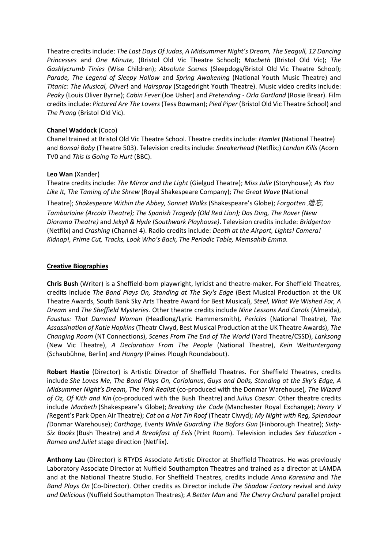Theatre credits include: *The Last Days Of Judas*, *A Midsummer Night's Dream, The Seagull, 12 Dancing Princesses* and *One Minute,* (Bristol Old Vic Theatre School); *Macbeth* (Bristol Old Vic); *The Gashlycrumb Tinies* (Wise Children); *Absolute Scenes* (Sleepdogs/Bristol Old Vic Theatre School); *Parade, The Legend of Sleepy Hollow* and *Spring Awakening* (National Youth Music Theatre) and *Titanic: The Musical, Oliver*! and *Hairspray* (Stagedright Youth Theatre). Music video credits include: *Peaky* (Louis Oliver Byrne); *Cabin Fever* (Joe Usher) and *Pretending - Orla Gartland* (Rosie Brear). Film credits include: *Pictured Are The Lovers* (Tess Bowman); *Pied Piper* (Bristol Old Vic Theatre School) and *The Prang* (Bristol Old Vic).

### **Chanel Waddock** (Coco)

Chanel trained at Bristol Old Vic Theatre School. Theatre credits include: *Hamlet* (National Theatre) and *Bonsai Baby* (Theatre 503). Television credits include: *Sneakerhead* (Netflix;) *London Kills* (Acorn TV0 and *This Is Going To Hurt* (BBC).

#### **Leo Wan** (Xander)

Theatre credits include: *The Mirror and the Light* (Gielgud Theatre); *Miss Julie* (Storyhouse); *As You Like It, The Taming of the Shrew* (Royal Shakespeare Company); *The Great Wave* (National

Theatre); *Shakespeare Within the Abbey, Sonnet Walks* (Shakespeare's Globe); *Forgotten* 遗忘*, Tamburlaine (Arcola Theatre); The Spanish Tragedy (Old Red Lion); Das Ding, The Rover (New Diorama Theatre)* and *Jekyll & Hyde* (S*outhwark Playhouse)*. Television credits include: *Bridgerton*  (Netflix) and *Crashing* (Channel 4). Radio credits include: *Death at the Airport, Lights! Camera! Kidnap!, Prime Cut, Tracks, Look Who's Back, The Periodic Table, Memsahib Emma.*

### **Creative Biographies**

**Chris Bush** (Writer) is a Sheffield-born playwright, lyricist and theatre-maker**.** For Sheffield Theatres, credits include *The Band Plays On, Standing at The Sky's Edge* (Best Musical Production at the UK Theatre Awards, South Bank Sky Arts Theatre Award for Best Musical), *Steel, What We Wished For, A Dream* and *The Sheffield Mysteries.* Other theatre credits include *Nine Lessons And Carols* (Almeida), *Faustus: That Damned Woman* (Headlong/Lyric Hammersmith), *Pericles* (National Theatre), *The Assassination of Katie Hopkins* (Theatr Clwyd, Best Musical Production at the UK Theatre Awards), *The Changing Room* (NT Connections), *Scenes From The End of The World* (Yard Theatre/CSSD), *Larksong* (New Vic Theatre), *A Declaration From The People* (National Theatre), *Kein Weltuntergang* (Schaubühne, Berlin) and *Hungry* (Paines Plough Roundabout).

**Robert Hastie** (Director) is Artistic Director of Sheffield Theatres. For Sheffield Theatres, credits include *She Loves Me, The Band Plays On, Coriolanus*, *Guys and Dolls, Standing at the Sky's Edge, A Midsummer Night's Dream, The York Realist* (co-produced with the Donmar Warehouse)*, The Wizard of Oz, Of Kith and Kin* (co-produced with the Bush Theatre) and *Julius Caesar*. Other theatre credits include *Macbeth* (Shakespeare's Globe); *Breaking the Code* (Manchester Royal Exchange); *Henry V (*Regent's Park Open Air Theatre); *Cat on a Hot Tin Roof* (Theatr Clwyd); *My Night with Reg, Splendour (*Donmar Warehouse); *Carthage, Events While Guarding The Bofors Gun* (Finborough Theatre); *Sixty-Six Books* (Bush Theatre) and *A Breakfast of Eels* (Print Room). Television includes *Sex Education* - *Romeo and Juliet* stage direction (Netflix).

**Anthony Lau** (Director) is RTYDS Associate Artistic Director at Sheffield Theatres. He was previously Laboratory Associate Director at Nuffield Southampton Theatres and trained as a director at LAMDA and at the National Theatre Studio. For Sheffield Theatres, credits include *Anna Karenina* and *The Band Plays On* (Co-Director). Other credits as Director include *The Shadow Factory* revival and *Juicy and Delicious* (Nuffield Southampton Theatres); *A Better Man* and *The Cherry Orchard* parallel project